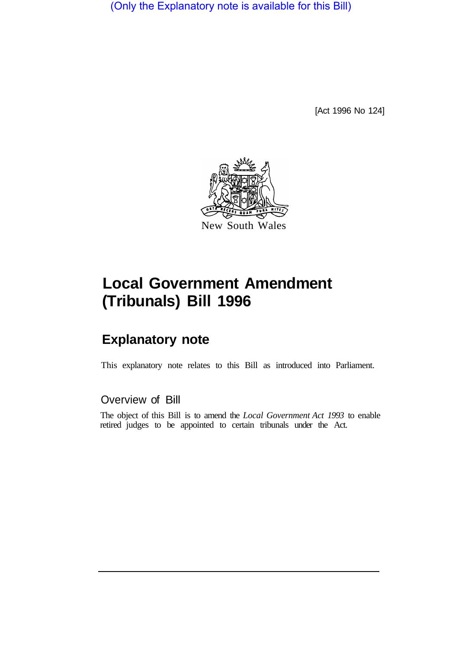(Only the Explanatory note is available for this Bill)

[Act 1996 No 124]



# **Local Government Amendment (Tribunals) Bill 1996**

## **Explanatory note**

This explanatory note relates to this Bill as introduced into Parliament.

### Overview of Bill

The object of this Bill is to amend the *Local Government Act 1993* to enable retired judges to be appointed to certain tribunals under the Act.